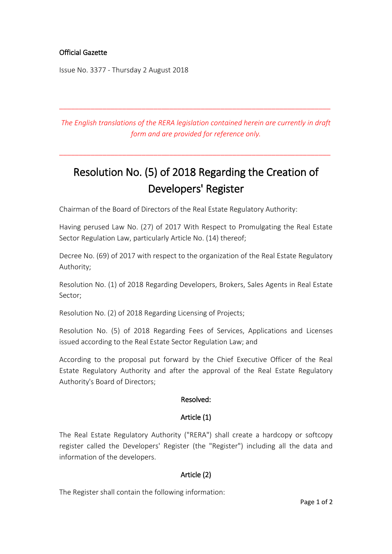# Official Gazette

Issue No. 3377 - Thursday 2 August 2018

*The English translations of the RERA legislation contained herein are currently in draft form and are provided for reference only.*

\_\_\_\_\_\_\_\_\_\_\_\_\_\_\_\_\_\_\_\_\_\_\_\_\_\_\_\_\_\_\_\_\_\_\_\_\_\_\_\_\_\_\_\_\_\_\_\_\_\_\_\_\_\_\_\_\_\_\_\_\_\_\_\_\_\_\_\_\_

\_\_\_\_\_\_\_\_\_\_\_\_\_\_\_\_\_\_\_\_\_\_\_\_\_\_\_\_\_\_\_\_\_\_\_\_\_\_\_\_\_\_\_\_\_\_\_\_\_\_\_\_\_\_\_\_\_\_\_\_\_\_\_\_\_\_\_\_\_

# Resolution No. (5) of 2018 Regarding the Creation of Developers' Register

Chairman of the Board of Directors of the Real Estate Regulatory Authority:

Having perused Law No. (27) of 2017 With Respect to Promulgating the Real Estate Sector Regulation Law, particularly Article No. (14) thereof;

Decree No. (69) of 2017 with respect to the organization of the Real Estate Regulatory Authority;

Resolution No. (1) of 2018 Regarding Developers, Brokers, Sales Agents in Real Estate Sector;

Resolution No. (2) of 2018 Regarding Licensing of Projects;

Resolution No. (5) of 2018 Regarding Fees of Services, Applications and Licenses issued according to the Real Estate Sector Regulation Law; and

According to the proposal put forward by the Chief Executive Officer of the Real Estate Regulatory Authority and after the approval of the Real Estate Regulatory Authority's Board of Directors;

# Resolved:

# Article (1)

The Real Estate Regulatory Authority ("RERA") shall create a hardcopy or softcopy register called the Developers' Register (the "Register") including all the data and information of the developers.

# Article (2)

The Register shall contain the following information: